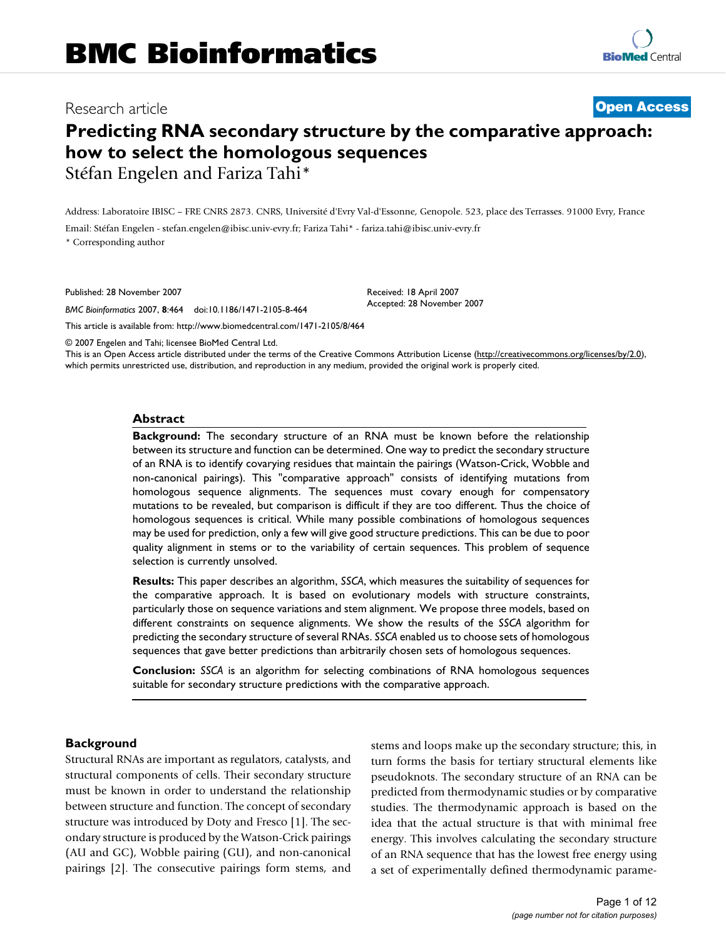## Research article **[Open Access](http://www.biomedcentral.com/info/about/charter/)**

# **Predicting RNA secondary structure by the comparative approach: how to select the homologous sequences**

Stéfan Engelen and Fariza Tahi\*

Address: Laboratoire IBISC – FRE CNRS 2873. CNRS, Université d'Evry Val-d'Essonne, Genopole. 523, place des Terrasses. 91000 Evry, France

Email: Stéfan Engelen - stefan.engelen@ibisc.univ-evry.fr; Fariza Tahi\* - fariza.tahi@ibisc.univ-evry.fr

\* Corresponding author

Published: 28 November 2007

*BMC Bioinformatics* 2007, **8**:464 doi:10.1186/1471-2105-8-464

Received: 18 April 2007 Accepted: 28 November 2007

[This article is available from: http://www.biomedcentral.com/1471-2105/8/464](http://www.biomedcentral.com/1471-2105/8/464)

© 2007 Engelen and Tahi; licensee BioMed Central Ltd.

This is an Open Access article distributed under the terms of the Creative Commons Attribution License [\(http://creativecommons.org/licenses/by/2.0\)](http://creativecommons.org/licenses/by/2.0), which permits unrestricted use, distribution, and reproduction in any medium, provided the original work is properly cited.

#### **Abstract**

**Background:** The secondary structure of an RNA must be known before the relationship between its structure and function can be determined. One way to predict the secondary structure of an RNA is to identify covarying residues that maintain the pairings (Watson-Crick, Wobble and non-canonical pairings). This "comparative approach" consists of identifying mutations from homologous sequence alignments. The sequences must covary enough for compensatory mutations to be revealed, but comparison is difficult if they are too different. Thus the choice of homologous sequences is critical. While many possible combinations of homologous sequences may be used for prediction, only a few will give good structure predictions. This can be due to poor quality alignment in stems or to the variability of certain sequences. This problem of sequence selection is currently unsolved.

**Results:** This paper describes an algorithm, *SSCA*, which measures the suitability of sequences for the comparative approach. It is based on evolutionary models with structure constraints, particularly those on sequence variations and stem alignment. We propose three models, based on different constraints on sequence alignments. We show the results of the *SSCA* algorithm for predicting the secondary structure of several RNAs. *SSCA* enabled us to choose sets of homologous sequences that gave better predictions than arbitrarily chosen sets of homologous sequences.

**Conclusion:** *SSCA* is an algorithm for selecting combinations of RNA homologous sequences suitable for secondary structure predictions with the comparative approach.

#### **Background**

Structural RNAs are important as regulators, catalysts, and structural components of cells. Their secondary structure must be known in order to understand the relationship between structure and function. The concept of secondary structure was introduced by Doty and Fresco [1]. The secondary structure is produced by the Watson-Crick pairings (AU and GC), Wobble pairing (GU), and non-canonical pairings [2]. The consecutive pairings form stems, and stems and loops make up the secondary structure; this, in turn forms the basis for tertiary structural elements like pseudoknots. The secondary structure of an RNA can be predicted from thermodynamic studies or by comparative studies. The thermodynamic approach is based on the idea that the actual structure is that with minimal free energy. This involves calculating the secondary structure of an RNA sequence that has the lowest free energy using a set of experimentally defined thermodynamic parame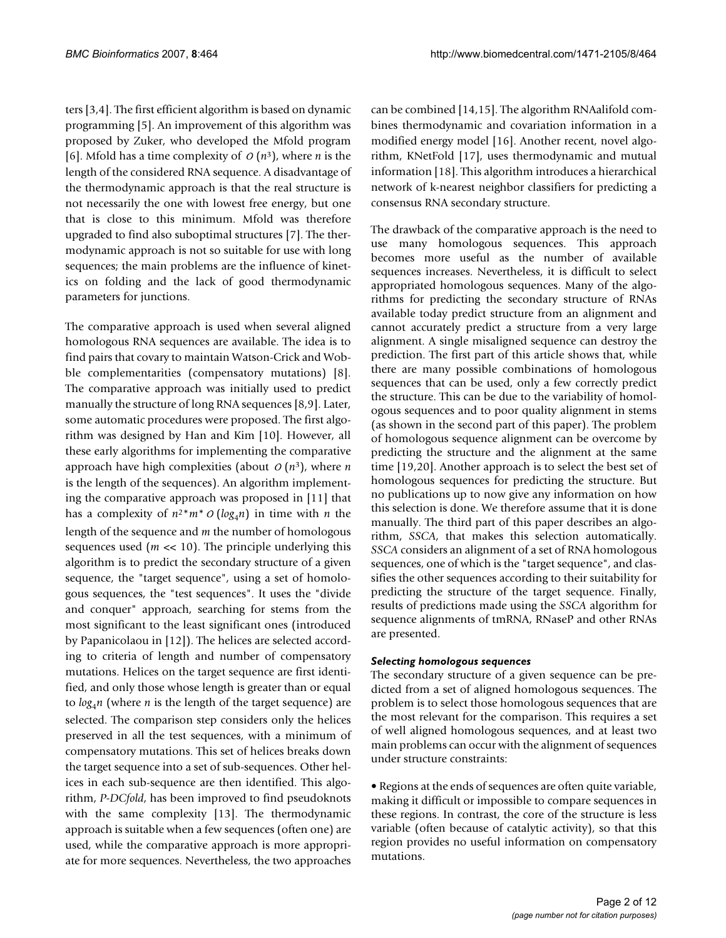ters [3,4]. The first efficient algorithm is based on dynamic programming [5]. An improvement of this algorithm was proposed by Zuker, who developed the Mfold program [6]. Mfold has a time complexity of  $O(n^3)$ , where *n* is the length of the considered RNA sequence. A disadvantage of the thermodynamic approach is that the real structure is not necessarily the one with lowest free energy, but one that is close to this minimum. Mfold was therefore upgraded to find also suboptimal structures [7]. The thermodynamic approach is not so suitable for use with long sequences; the main problems are the influence of kinetics on folding and the lack of good thermodynamic parameters for junctions.

The comparative approach is used when several aligned homologous RNA sequences are available. The idea is to find pairs that covary to maintain Watson-Crick and Wobble complementarities (compensatory mutations) [8]. The comparative approach was initially used to predict manually the structure of long RNA sequences [8,9]. Later, some automatic procedures were proposed. The first algorithm was designed by Han and Kim [10]. However, all these early algorithms for implementing the comparative approach have high complexities (about  $O(n^3)$ , where *n* is the length of the sequences). An algorithm implementing the comparative approach was proposed in [11] that has a complexity of  $n^{2*}m^*$  *O* (log<sub>4</sub>*n*) in time with *n* the length of the sequence and *m* the number of homologous sequences used (*m* << 10). The principle underlying this algorithm is to predict the secondary structure of a given sequence, the "target sequence", using a set of homologous sequences, the "test sequences". It uses the "divide and conquer" approach, searching for stems from the most significant to the least significant ones (introduced by Papanicolaou in [12]). The helices are selected according to criteria of length and number of compensatory mutations. Helices on the target sequence are first identified, and only those whose length is greater than or equal to *log*4*n* (where *n* is the length of the target sequence) are selected. The comparison step considers only the helices preserved in all the test sequences, with a minimum of compensatory mutations. This set of helices breaks down the target sequence into a set of sub-sequences. Other helices in each sub-sequence are then identified. This algorithm, *P-DCfold*, has been improved to find pseudoknots with the same complexity [13]. The thermodynamic approach is suitable when a few sequences (often one) are used, while the comparative approach is more appropriate for more sequences. Nevertheless, the two approaches can be combined [14,15]. The algorithm RNAalifold combines thermodynamic and covariation information in a modified energy model [16]. Another recent, novel algorithm, KNetFold [17], uses thermodynamic and mutual information [18]. This algorithm introduces a hierarchical network of k-nearest neighbor classifiers for predicting a consensus RNA secondary structure.

The drawback of the comparative approach is the need to use many homologous sequences. This approach becomes more useful as the number of available sequences increases. Nevertheless, it is difficult to select appropriated homologous sequences. Many of the algorithms for predicting the secondary structure of RNAs available today predict structure from an alignment and cannot accurately predict a structure from a very large alignment. A single misaligned sequence can destroy the prediction. The first part of this article shows that, while there are many possible combinations of homologous sequences that can be used, only a few correctly predict the structure. This can be due to the variability of homologous sequences and to poor quality alignment in stems (as shown in the second part of this paper). The problem of homologous sequence alignment can be overcome by predicting the structure and the alignment at the same time [19,20]. Another approach is to select the best set of homologous sequences for predicting the structure. But no publications up to now give any information on how this selection is done. We therefore assume that it is done manually. The third part of this paper describes an algorithm, *SSCA*, that makes this selection automatically. *SSCA* considers an alignment of a set of RNA homologous sequences, one of which is the "target sequence", and classifies the other sequences according to their suitability for predicting the structure of the target sequence. Finally, results of predictions made using the *SSCA* algorithm for sequence alignments of tmRNA, RNaseP and other RNAs are presented.

#### *Selecting homologous sequences*

The secondary structure of a given sequence can be predicted from a set of aligned homologous sequences. The problem is to select those homologous sequences that are the most relevant for the comparison. This requires a set of well aligned homologous sequences, and at least two main problems can occur with the alignment of sequences under structure constraints:

• Regions at the ends of sequences are often quite variable, making it difficult or impossible to compare sequences in these regions. In contrast, the core of the structure is less variable (often because of catalytic activity), so that this region provides no useful information on compensatory mutations.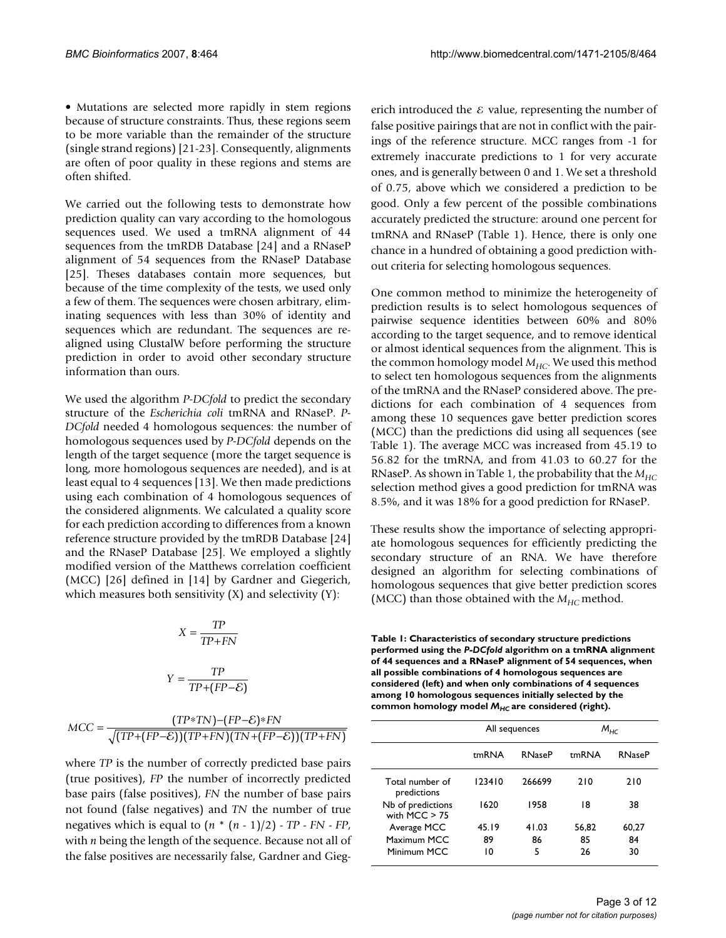• Mutations are selected more rapidly in stem regions because of structure constraints. Thus, these regions seem to be more variable than the remainder of the structure (single strand regions) [21-23]. Consequently, alignments are often of poor quality in these regions and stems are often shifted.

We carried out the following tests to demonstrate how prediction quality can vary according to the homologous sequences used. We used a tmRNA alignment of 44 sequences from the tmRDB Database [24] and a RNaseP alignment of 54 sequences from the RNaseP Database [25]. Theses databases contain more sequences, but because of the time complexity of the tests, we used only a few of them. The sequences were chosen arbitrary, eliminating sequences with less than 30% of identity and sequences which are redundant. The sequences are realigned using ClustalW before performing the structure prediction in order to avoid other secondary structure information than ours.

We used the algorithm *P-DCfold* to predict the secondary structure of the *Escherichia coli* tmRNA and RNaseP. *P-DCfold* needed 4 homologous sequences: the number of homologous sequences used by *P-DCfold* depends on the length of the target sequence (more the target sequence is long, more homologous sequences are needed), and is at least equal to 4 sequences [13]. We then made predictions using each combination of 4 homologous sequences of the considered alignments. We calculated a quality score for each prediction according to differences from a known reference structure provided by the tmRDB Database [24] and the RNaseP Database [25]. We employed a slightly modified version of the Matthews correlation coefficient (MCC) [26] defined in [14] by Gardner and Giegerich, which measures both sensitivity (X) and selectivity (Y):

$$
X = \frac{TP}{TP + FN}
$$

$$
Y = \frac{TP}{TP + (FP - E)}
$$

*MCC =*  $\frac{(TP * TN) - (FP - E) * FN}{\sqrt{(TP + (FP - E))(TP + FN)(TN + (FP - E))(TP + FN)}}$  $(TP*TN)$ – $(FP-\mathcal{E})$  $(TP+(FP-\mathcal{E}))(TP+FN)(TN+(FP-\mathcal{E}))(TP+FN)$  $\mathcal{E}_{0}^{(n)}$  $E$ ))(TP+FN)(TN+(FP-E

where *TP* is the number of correctly predicted base pairs (true positives), *FP* the number of incorrectly predicted base pairs (false positives), *FN* the number of base pairs not found (false negatives) and *TN* the number of true negatives which is equal to  $(n * (n - 1)/2)$  -  $TP$  -  $FN$  -  $FP$ , with *n* being the length of the sequence. Because not all of the false positives are necessarily false, Gardner and Gieg-

erich introduced the  $\varepsilon$  value, representing the number of false positive pairings that are not in conflict with the pairings of the reference structure. MCC ranges from -1 for extremely inaccurate predictions to 1 for very accurate ones, and is generally between 0 and 1. We set a threshold of 0.75, above which we considered a prediction to be good. Only a few percent of the possible combinations accurately predicted the structure: around one percent for tmRNA and RNaseP (Table 1). Hence, there is only one chance in a hundred of obtaining a good prediction without criteria for selecting homologous sequences.

One common method to minimize the heterogeneity of prediction results is to select homologous sequences of pairwise sequence identities between 60% and 80% according to the target sequence, and to remove identical or almost identical sequences from the alignment. This is the common homology model  $M_{HC}$ . We used this method to select ten homologous sequences from the alignments of the tmRNA and the RNaseP considered above. The predictions for each combination of 4 sequences from among these 10 sequences gave better prediction scores (MCC) than the predictions did using all sequences (see Table 1). The average MCC was increased from 45.19 to 56.82 for the tmRNA, and from 41.03 to 60.27 for the RNaseP. As shown in Table 1, the probability that the  $M_{HC}$ selection method gives a good prediction for tmRNA was 8.5%, and it was 18% for a good prediction for RNaseP.

These results show the importance of selecting appropriate homologous sequences for efficiently predicting the secondary structure of an RNA. We have therefore designed an algorithm for selecting combinations of homologous sequences that give better prediction scores (MCC) than those obtained with the  $M_{HC}$  method.

**Table 1: Characteristics of secondary structure predictions performed using the** *P-DCfold* **algorithm on a tmRNA alignment of 44 sequences and a RNaseP alignment of 54 sequences, when all possible combinations of 4 homologous sequences are considered (left) and when only combinations of 4 sequences among 10 homologous sequences initially selected by the**  common homology model  $M_{HC}$  are considered (right).

|                                      |        | All sequences<br>$M_{HC}$ |       |               |
|--------------------------------------|--------|---------------------------|-------|---------------|
|                                      | tmRNA  | <b>RNaseP</b>             | tmRNA | <b>RNaseP</b> |
| Total number of<br>predictions       | 123410 | 266699                    | 210   | 210           |
| Nb of predictions<br>with MCC $>$ 75 | 1620   | 1958                      | 18    | 38            |
| Average MCC                          | 45.19  | 41.03                     | 56,82 | 60,27         |
| Maximum MCC                          | 89     | 86                        | 85    | 84            |
| Minimum MCC                          | 10     | 5                         | 26    | 30            |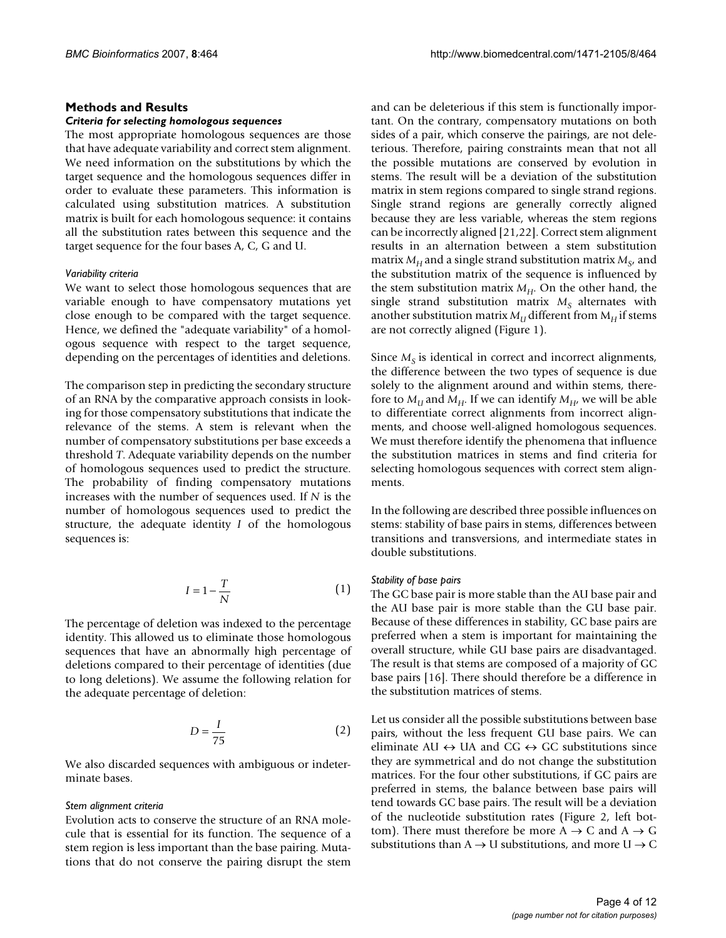#### **Methods and Results**

#### *Criteria for selecting homologous sequences*

The most appropriate homologous sequences are those that have adequate variability and correct stem alignment. We need information on the substitutions by which the target sequence and the homologous sequences differ in order to evaluate these parameters. This information is calculated using substitution matrices. A substitution matrix is built for each homologous sequence: it contains all the substitution rates between this sequence and the target sequence for the four bases A, C, G and U.

#### *Variability criteria*

We want to select those homologous sequences that are variable enough to have compensatory mutations yet close enough to be compared with the target sequence. Hence, we defined the "adequate variability" of a homologous sequence with respect to the target sequence, depending on the percentages of identities and deletions.

The comparison step in predicting the secondary structure of an RNA by the comparative approach consists in looking for those compensatory substitutions that indicate the relevance of the stems. A stem is relevant when the number of compensatory substitutions per base exceeds a threshold *T*. Adequate variability depends on the number of homologous sequences used to predict the structure. The probability of finding compensatory mutations increases with the number of sequences used. If *N* is the number of homologous sequences used to predict the structure, the adequate identity *I* of the homologous sequences is:

$$
I = 1 - \frac{T}{N} \tag{1}
$$

The percentage of deletion was indexed to the percentage identity. This allowed us to eliminate those homologous sequences that have an abnormally high percentage of deletions compared to their percentage of identities (due to long deletions). We assume the following relation for the adequate percentage of deletion:

$$
D = \frac{I}{75} \tag{2}
$$

We also discarded sequences with ambiguous or indeterminate bases.

#### *Stem alignment criteria*

Evolution acts to conserve the structure of an RNA molecule that is essential for its function. The sequence of a stem region is less important than the base pairing. Mutations that do not conserve the pairing disrupt the stem

and can be deleterious if this stem is functionally important. On the contrary, compensatory mutations on both sides of a pair, which conserve the pairings, are not deleterious. Therefore, pairing constraints mean that not all the possible mutations are conserved by evolution in stems. The result will be a deviation of the substitution matrix in stem regions compared to single strand regions. Single strand regions are generally correctly aligned because they are less variable, whereas the stem regions can be incorrectly aligned [21,22]. Correct stem alignment results in an alternation between a stem substitution matrix  $M_H$  and a single strand substitution matrix  $M_S$ , and the substitution matrix of the sequence is influenced by the stem substitution matrix  $M_H$ . On the other hand, the single strand substitution matrix  $M<sub>S</sub>$  alternates with another substitution matrix  $M_U$  different from  $M_H$  if stems are not correctly aligned (Figure 1).

Since  $M<sub>S</sub>$  is identical in correct and incorrect alignments, the difference between the two types of sequence is due solely to the alignment around and within stems, therefore to  $M_U$  and  $M_H$ . If we can identify  $M_{H'}$  we will be able to differentiate correct alignments from incorrect alignments, and choose well-aligned homologous sequences. We must therefore identify the phenomena that influence the substitution matrices in stems and find criteria for selecting homologous sequences with correct stem alignments.

In the following are described three possible influences on stems: stability of base pairs in stems, differences between transitions and transversions, and intermediate states in double substitutions.

#### *Stability of base pairs*

The GC base pair is more stable than the AU base pair and the AU base pair is more stable than the GU base pair. Because of these differences in stability, GC base pairs are preferred when a stem is important for maintaining the overall structure, while GU base pairs are disadvantaged. The result is that stems are composed of a majority of GC base pairs [16]. There should therefore be a difference in the substitution matrices of stems.

Let us consider all the possible substitutions between base pairs, without the less frequent GU base pairs. We can eliminate AU  $\leftrightarrow$  UA and CG  $\leftrightarrow$  GC substitutions since they are symmetrical and do not change the substitution matrices. For the four other substitutions, if GC pairs are preferred in stems, the balance between base pairs will tend towards GC base pairs. The result will be a deviation of the nucleotide substitution rates (Figure 2, left bottom). There must therefore be more  $A \rightarrow C$  and  $A \rightarrow G$ substitutions than  $A \rightarrow U$  substitutions, and more  $U \rightarrow C$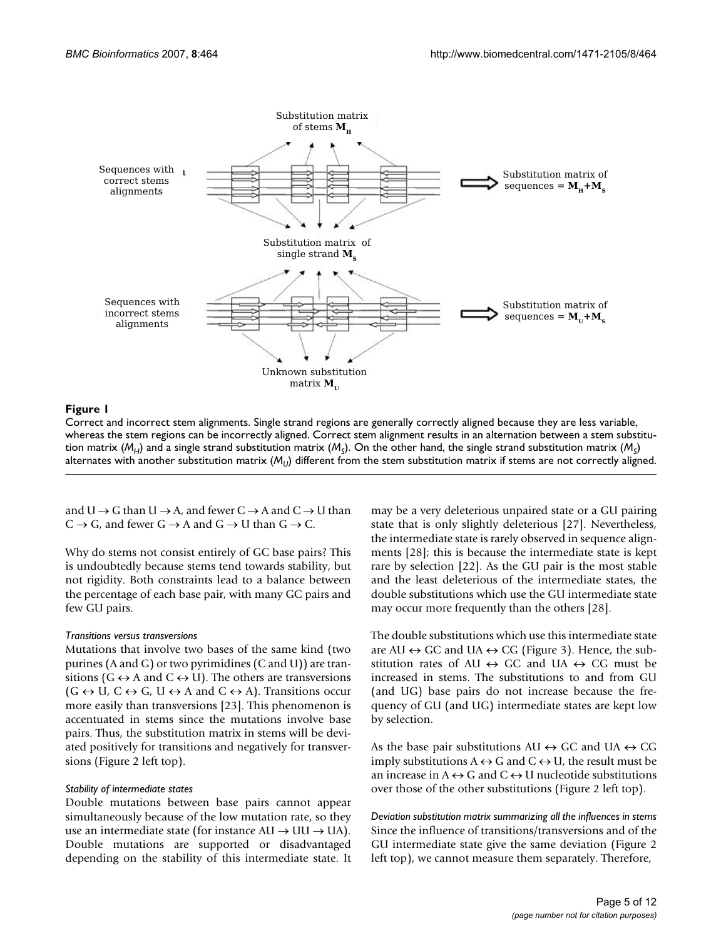

#### Figure 1

Correct and incorrect stem alignments. Single strand regions are generally correctly aligned because they are less variable, whereas the stem regions can be incorrectly aligned. Correct stem alignment results in an alternation between a stem substitution matrix ( $M_H$ ) and a single strand substitution matrix ( $M_S$ ). On the other hand, the single strand substitution matrix ( $M_S$ ) alternates with another substitution matrix (*M<sub>U</sub>*) different from the stem substitution matrix if stems are not correctly aligned.

and  $U \rightarrow G$  than  $U \rightarrow A$ , and fewer  $C \rightarrow A$  and  $C \rightarrow U$  than  $C \rightarrow G$ , and fewer  $G \rightarrow A$  and  $G \rightarrow U$  than  $G \rightarrow C$ .

Why do stems not consist entirely of GC base pairs? This is undoubtedly because stems tend towards stability, but not rigidity. Both constraints lead to a balance between the percentage of each base pair, with many GC pairs and few GU pairs.

#### *Transitions versus transversions*

Mutations that involve two bases of the same kind (two purines (A and G) or two pyrimidines (C and U)) are transitions ( $G \leftrightarrow A$  and  $C \leftrightarrow U$ ). The others are transversions  $(G \leftrightarrow U, C \leftrightarrow G, U \leftrightarrow A \text{ and } C \leftrightarrow A)$ . Transitions occur more easily than transversions [23]. This phenomenon is accentuated in stems since the mutations involve base pairs. Thus, the substitution matrix in stems will be deviated positively for transitions and negatively for transversions (Figure 2 left top).

#### *Stability of intermediate states*

Double mutations between base pairs cannot appear simultaneously because of the low mutation rate, so they use an intermediate state (for instance  $AU \rightarrow UU \rightarrow UA$ ). Double mutations are supported or disadvantaged depending on the stability of this intermediate state. It may be a very deleterious unpaired state or a GU pairing state that is only slightly deleterious [27]. Nevertheless, the intermediate state is rarely observed in sequence alignments [28]; this is because the intermediate state is kept rare by selection [22]. As the GU pair is the most stable and the least deleterious of the intermediate states, the double substitutions which use the GU intermediate state may occur more frequently than the others [28].

The double substitutions which use this intermediate state are AU  $\leftrightarrow$  GC and UA  $\leftrightarrow$  CG (Figure 3). Hence, the substitution rates of AU  $\leftrightarrow$  GC and UA  $\leftrightarrow$  CG must be increased in stems. The substitutions to and from GU (and UG) base pairs do not increase because the frequency of GU (and UG) intermediate states are kept low by selection.

As the base pair substitutions AU  $\leftrightarrow$  GC and UA  $\leftrightarrow$  CG imply substitutions  $A \leftrightarrow G$  and  $C \leftrightarrow U$ , the result must be an increase in  $A \leftrightarrow G$  and  $C \leftrightarrow U$  nucleotide substitutions over those of the other substitutions (Figure 2 left top).

*Deviation substitution matrix summarizing all the influences in stems* Since the influence of transitions/transversions and of the GU intermediate state give the same deviation (Figure 2 left top), we cannot measure them separately. Therefore,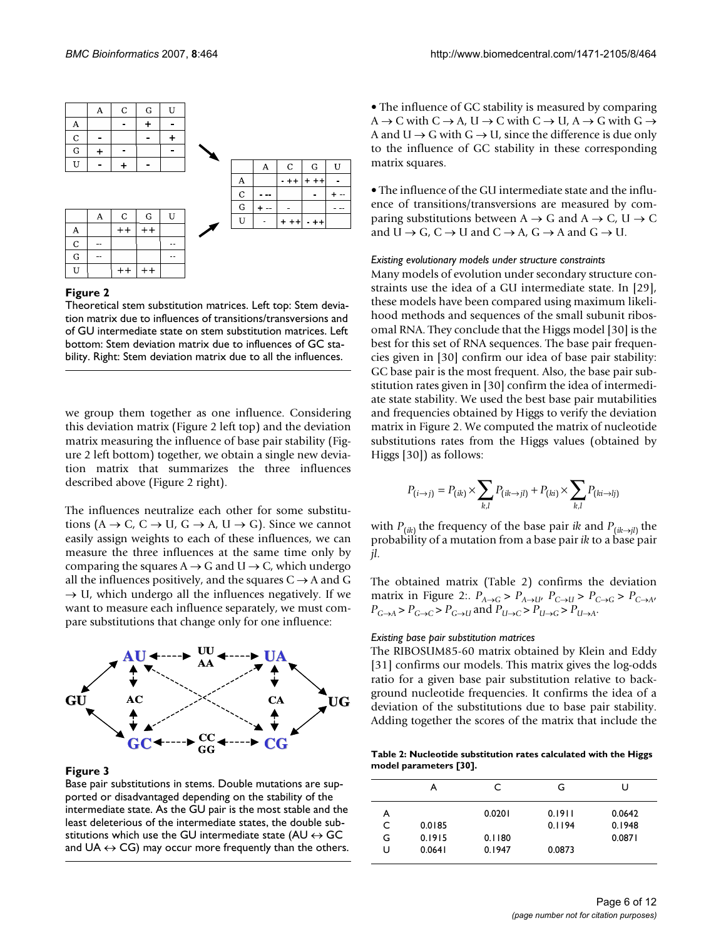

#### **Figure 2**

Theoretical stem substitution matrices. Left top: Stem deviation matrix due to influences of transitions/transversions and of GU intermediate state on stem substitution matrices. Left bottom: Stem deviation matrix due to influences of GC stability. Right: Stem deviation matrix due to all the influences.

we group them together as one influence. Considering this deviation matrix (Figure 2 left top) and the deviation matrix measuring the influence of base pair stability (Figure 2 left bottom) together, we obtain a single new deviation matrix that summarizes the three influences described above (Figure 2 right).

The influences neutralize each other for some substitutions  $(A \rightarrow C, C \rightarrow U, G \rightarrow A, U \rightarrow G)$ . Since we cannot easily assign weights to each of these influences, we can measure the three influences at the same time only by comparing the squares  $A \rightarrow G$  and  $U \rightarrow C$ , which undergo all the influences positively, and the squares  $C \rightarrow A$  and G  $\rightarrow$  U, which undergo all the influences negatively. If we want to measure each influence separately, we must compare substitutions that change only for one influence:



#### **Figure 3**

Base pair substitutions in stems. Double mutations are supported or disadvantaged depending on the stability of the intermediate state. As the GU pair is the most stable and the least deleterious of the intermediate states, the double substitutions which use the GU intermediate state (AU  $\leftrightarrow$  GC and  $UA \leftrightarrow CG$ ) may occur more frequently than the others. • The influence of GC stability is measured by comparing  $A \to C$  with  $C \to A$ ,  $U \to C$  with  $C \to U$ ,  $A \to G$  with  $G \to A$ A and  $U \rightarrow G$  with  $G \rightarrow U$ , since the difference is due only to the influence of GC stability in these corresponding matrix squares.

• The influence of the GU intermediate state and the influence of transitions/transversions are measured by comparing substitutions between  $A \rightarrow G$  and  $A \rightarrow C$ , U  $\rightarrow C$ and  $U \rightarrow G$ ,  $C \rightarrow U$  and  $C \rightarrow A$ ,  $G \rightarrow A$  and  $G \rightarrow U$ .

#### *Existing evolutionary models under structure constraints*

Many models of evolution under secondary structure constraints use the idea of a GU intermediate state. In [29], these models have been compared using maximum likelihood methods and sequences of the small subunit ribosomal RNA. They conclude that the Higgs model [30] is the best for this set of RNA sequences. The base pair frequencies given in [30] confirm our idea of base pair stability: GC base pair is the most frequent. Also, the base pair substitution rates given in [30] confirm the idea of intermediate state stability. We used the best base pair mutabilities and frequencies obtained by Higgs to verify the deviation matrix in Figure 2. We computed the matrix of nucleotide substitutions rates from the Higgs values (obtained by Higgs [30]) as follows:

$$
P_{(i \to j)} = P_{(ik)} \times \sum_{k,l} P_{(ik \to jl)} + P_{(ki)} \times \sum_{k,l} P_{(ki \to lj)}
$$

with  $P_{(ik)}$  the frequency of the base pair *ik* and  $P_{(ik\rightarrow il)}$  the probability of a mutation from a base pair *ik* to a base pair *jl*.

The obtained matrix (Table 2) confirms the deviation matrix in Figure 2:.  $P_{A\rightarrow G} > P_{A\rightarrow U}$ ,  $P_{C\rightarrow U} > P_{C\rightarrow G} > P_{C\rightarrow A}$  $P_{G\rightarrow A}$  >  $P_{G\rightarrow C}$  >  $P_{G\rightarrow U}$  and  $P_{U\rightarrow C}$  >  $P_{U\rightarrow G}$  >  $P_{U\rightarrow A}$ .

#### *Existing base pair substitution matrices*

The RIBOSUM85-60 matrix obtained by Klein and Eddy [31] confirms our models. This matrix gives the log-odds ratio for a given base pair substitution relative to background nucleotide frequencies. It confirms the idea of a deviation of the substitutions due to base pair stability. Adding together the scores of the matrix that include the

**Table 2: Nucleotide substitution rates calculated with the Higgs model parameters [30].**

|   | А      | C      | G      | U      |
|---|--------|--------|--------|--------|
| А |        | 0.0201 | 0.1911 | 0.0642 |
| C | 0.0185 |        | 0.1194 | 0.1948 |
| G | 0.1915 | 0.1180 |        | 0.0871 |
| U | 0.0641 | 0.1947 | 0.0873 |        |
|   |        |        |        |        |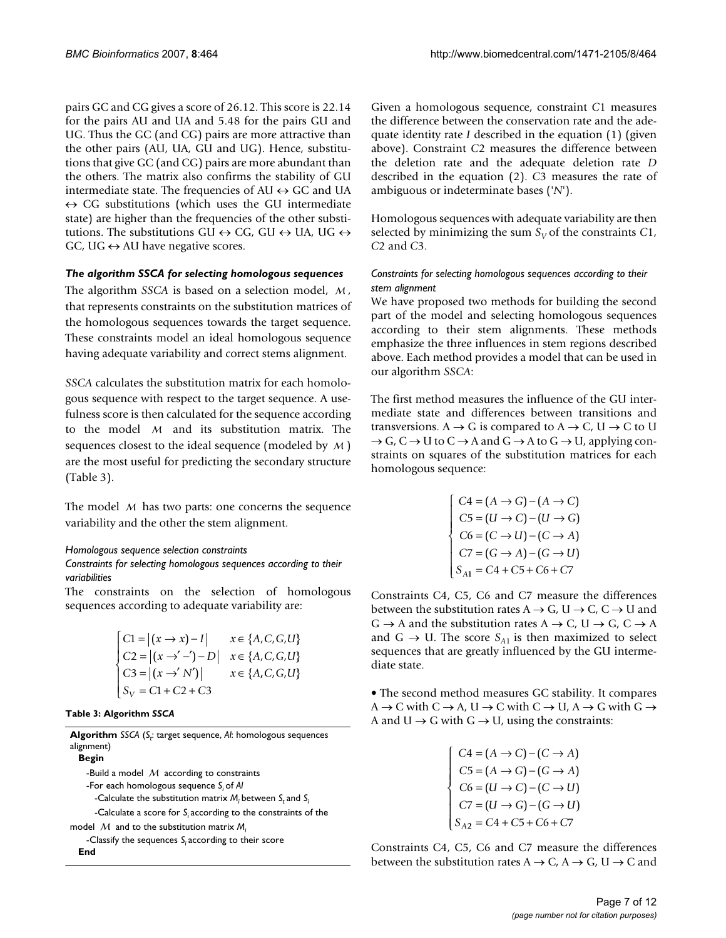pairs GC and CG gives a score of 26.12. This score is 22.14 for the pairs AU and UA and 5.48 for the pairs GU and UG. Thus the GC (and CG) pairs are more attractive than the other pairs (AU, UA, GU and UG). Hence, substitutions that give GC (and CG) pairs are more abundant than the others. The matrix also confirms the stability of GU intermediate state. The frequencies of AU  $\leftrightarrow$  GC and UA  $\leftrightarrow$  CG substitutions (which uses the GU intermediate state) are higher than the frequencies of the other substitutions. The substitutions GU  $\leftrightarrow$  CG, GU  $\leftrightarrow$  UA, UG  $\leftrightarrow$ GC, UG  $\leftrightarrow$  AU have negative scores.

#### *The algorithm SSCA for selecting homologous sequences*

The algorithm *SSCA* is based on a selection model, M, that represents constraints on the substitution matrices of the homologous sequences towards the target sequence. These constraints model an ideal homologous sequence having adequate variability and correct stems alignment.

*SSCA* calculates the substitution matrix for each homologous sequence with respect to the target sequence. A usefulness score is then calculated for the sequence according to the model  $M$  and its substitution matrix. The sequences closest to the ideal sequence (modeled by  $\mathcal M$ ) are the most useful for predicting the secondary structure (Table 3).

The model  $\,$  M has two parts: one concerns the sequence variability and the other the stem alignment.

#### *Homologous sequence selection constraints*

*Constraints for selecting homologous sequences according to their variabilities*

The constraints on the selection of homologous sequences according to adequate variability are:

$$
\begin{cases}\nC1 = |(x \to x) - I| & x \in \{A, C, G, U\} \\
C2 = |(x \to ' -') - D| & x \in \{A, C, G, U\} \\
C3 = |(x \to ' N')| & x \in \{A, C, G, U\} \\
S_V = C1 + C2 + C3 &\n\end{cases}
$$

#### **Table 3: Algorithm** *SSCA*

**Algorithm** SSCA (S<sub>t</sub>: target sequence, AI: homologous sequences alignment) **Begin**

-Build a model  $\ M$  according to constraints

-For each homologous sequence *Si* of *Al*

-Calculate the substitution matrix  $M_i$  between  $S_t$  and  $S_i$ 

-Calculate a score for *Si* according to the constraints of the

model  $\ M$  and to the substitution matrix  $M_{\tilde{t}}$ 

-Classify the sequences *Si* according to their score

**End**

Given a homologous sequence, constraint *C*1 measures the difference between the conservation rate and the adequate identity rate *I* described in the equation (1) (given above). Constraint *C*2 measures the difference between the deletion rate and the adequate deletion rate *D* described in the equation (2). *C*3 measures the rate of ambiguous or indeterminate bases ('*N*').

Homologous sequences with adequate variability are then selected by minimizing the sum  $S_V$  of the constraints  $C1$ , *C*2 and *C*3.

#### *Constraints for selecting homologous sequences according to their stem alignment*

We have proposed two methods for building the second part of the model and selecting homologous sequences according to their stem alignments. These methods emphasize the three influences in stem regions described above. Each method provides a model that can be used in our algorithm *SSCA*:

The first method measures the influence of the GU intermediate state and differences between transitions and transversions.  $A \rightarrow G$  is compared to  $A \rightarrow C$ ,  $U \rightarrow C$  to U  $\rightarrow$  G, C  $\rightarrow$  U to C  $\rightarrow$  A and G  $\rightarrow$  A to G  $\rightarrow$  U, applying constraints on squares of the substitution matrices for each homologous sequence:

$$
\begin{cases}\nC4 = (A \rightarrow G) - (A \rightarrow C) \\
C5 = (U \rightarrow C) - (U \rightarrow G) \\
C6 = (C \rightarrow U) - (C \rightarrow A) \\
C7 = (G \rightarrow A) - (G \rightarrow U) \\
S_{A1} = C4 + C5 + C6 + C7\n\end{cases}
$$

Constraints C4, C5, C6 and C7 measure the differences between the substitution rates  $A \rightarrow G$ , U  $\rightarrow C$ , C  $\rightarrow U$  and  $G \rightarrow A$  and the substitution rates  $A \rightarrow C$ ,  $U \rightarrow G$ ,  $C \rightarrow A$ and  $G \rightarrow U$ . The score  $S_{A1}$  is then maximized to select sequences that are greatly influenced by the GU intermediate state.

• The second method measures GC stability. It compares  $A \to C$  with  $C \to A$ , U  $\to C$  with  $C \to U$ , A  $\to G$  with  $G \to$ A and  $U \rightarrow G$  with  $G \rightarrow U$ , using the constraints:

$$
\begin{cases}\nC4 = (A \rightarrow C) - (C \rightarrow A) \\
C5 = (A \rightarrow G) - (G \rightarrow A) \\
C6 = (U \rightarrow C) - (C \rightarrow U) \\
C7 = (U \rightarrow G) - (G \rightarrow U) \\
S_{A2} = C4 + C5 + C6 + C7\n\end{cases}
$$

Constraints C4, C5, C6 and C7 measure the differences between the substitution rates  $A \rightarrow C$ ,  $A \rightarrow G$ ,  $U \rightarrow C$  and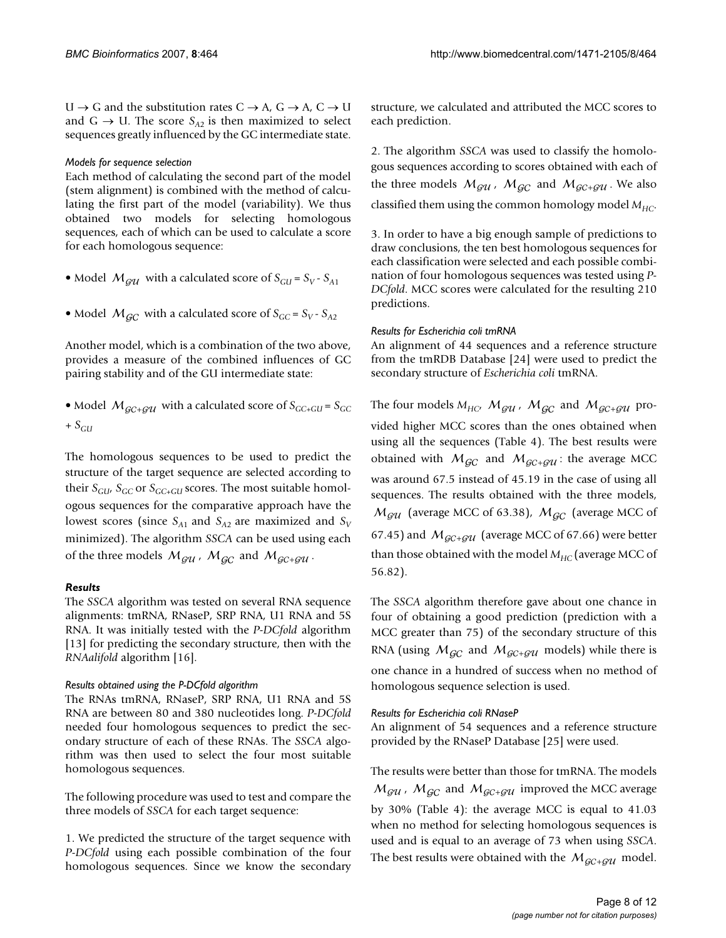$U \rightarrow G$  and the substitution rates  $C \rightarrow A$ ,  $G \rightarrow A$ ,  $C \rightarrow U$ and  $G \rightarrow U$ . The score  $S_{A2}$  is then maximized to select sequences greatly influenced by the GC intermediate state.

#### *Models for sequence selection*

Each method of calculating the second part of the model (stem alignment) is combined with the method of calculating the first part of the model (variability). We thus obtained two models for selecting homologous sequences, each of which can be used to calculate a score for each homologous sequence:

- Model  $M_{\mathcal{G}U}$  with a calculated score of  $S_{GU} = S_V S_{A1}$
- Model  $M_{GC}$  with a calculated score of  $S_{GC} = S_V S_{A2}$

Another model, which is a combination of the two above, provides a measure of the combined influences of GC pairing stability and of the GU intermediate state:

• Model 
$$
M_{GC+GU}
$$
 with a calculated score of  $S_{GC+GU} = S_{GC}$   
+  $S_{GU}$ 

The homologous sequences to be used to predict the structure of the target sequence are selected according to their  $S_{GUV}$   $S_{GC}$  or  $S_{GC+GU}$  scores. The most suitable homologous sequences for the comparative approach have the lowest scores (since  $S_{A1}$  and  $S_{A2}$  are maximized and  $S_V$ minimized). The algorithm *SSCA* can be used using each of the three models  $\mathcal{M}_{\mathcal{G}\mathcal{U}}$  ,  $\mathcal{M}_{\mathcal{G}\mathcal{C}}$  and  $\mathcal{M}_{\mathcal{G}\mathcal{C}+\mathcal{G}\mathcal{U}}$ .

#### *Results*

The *SSCA* algorithm was tested on several RNA sequence alignments: tmRNA, RNaseP, SRP RNA, U1 RNA and 5S RNA. It was initially tested with the *P-DCfold* algorithm [13] for predicting the secondary structure, then with the *RNAalifold* algorithm [16].

#### *Results obtained using the P-DCfold algorithm*

The RNAs tmRNA, RNaseP, SRP RNA, U1 RNA and 5S RNA are between 80 and 380 nucleotides long. *P-DCfold* needed four homologous sequences to predict the secondary structure of each of these RNAs. The *SSCA* algorithm was then used to select the four most suitable homologous sequences.

The following procedure was used to test and compare the three models of *SSCA* for each target sequence:

1. We predicted the structure of the target sequence with *P-DCfold* using each possible combination of the four homologous sequences. Since we know the secondary structure, we calculated and attributed the MCC scores to each prediction.

2. The algorithm *SSCA* was used to classify the homologous sequences according to scores obtained with each of the three models  $\mathcal{M}_{\mathcal{G}U}$ ,  $\mathcal{M}_{\mathcal{G}C}$  and  $\mathcal{M}_{\mathcal{G}C+\mathcal{G}U}$ . We also classified them using the common homology model  $M_{HC}$ .

3. In order to have a big enough sample of predictions to draw conclusions, the ten best homologous sequences for each classification were selected and each possible combination of four homologous sequences was tested using *P-DCfold*. MCC scores were calculated for the resulting 210 predictions.

### *Results for Escherichia coli tmRNA*

An alignment of 44 sequences and a reference structure from the tmRDB Database [24] were used to predict the secondary structure of *Escherichia coli* tmRNA.

The four models  $M_{HC}$  ,  $M_{\mathscr{G}U}$  ,  $M_{\mathscr{G}C}$  and  $M_{\mathscr{G}C+ \mathscr{G}U}$  provided higher MCC scores than the ones obtained when using all the sequences (Table 4). The best results were obtained with  $\mathcal{M}_{\mathcal{GC}}$  and  $\mathcal{M}_{\mathcal{GC}+\mathcal{GU}}$ : the average MCC was around 67.5 instead of 45.19 in the case of using all sequences. The results obtained with the three models,  $M_{\mathscr{G}\mathscr{U}}$  (average MCC of 63.38),  $\mathscr{M}_{\mathscr{G}\mathscr{C}}$  (average MCC of 67.45) and  $\mathcal{M}_{\mathcal{G}C+\mathcal{G}\mathcal{U}}$  (average MCC of 67.66) were better than those obtained with the model  $M_{HC}$  (average MCC of 56.82).

The *SSCA* algorithm therefore gave about one chance in four of obtaining a good prediction (prediction with a MCC greater than 75) of the secondary structure of this RNA (using  $\mathcal{M}_{\mathcal{GC}}$  and  $\mathcal{M}_{\mathcal{GC}+\mathcal{GU}}$  models) while there is one chance in a hundred of success when no method of homologous sequence selection is used.

#### *Results for Escherichia coli RNaseP*

An alignment of 54 sequences and a reference structure provided by the RNaseP Database [25] were used.

The results were better than those for tmRNA. The models  $\mathcal{M}_{\mathcal{G}\mathcal{U}}$  ,  $\mathcal{M}_{\mathcal{G}\mathcal{C}}$  and  $\mathcal{M}_{\mathcal{G}\mathcal{C}+\mathcal{G}\mathcal{U}}$  improved the MCC average by 30% (Table 4): the average MCC is equal to 41.03 when no method for selecting homologous sequences is used and is equal to an average of 73 when using *SSCA*. The best results were obtained with the  $\mathcal{M}_{\mathcal{G}C+\mathcal{G}U}$  model.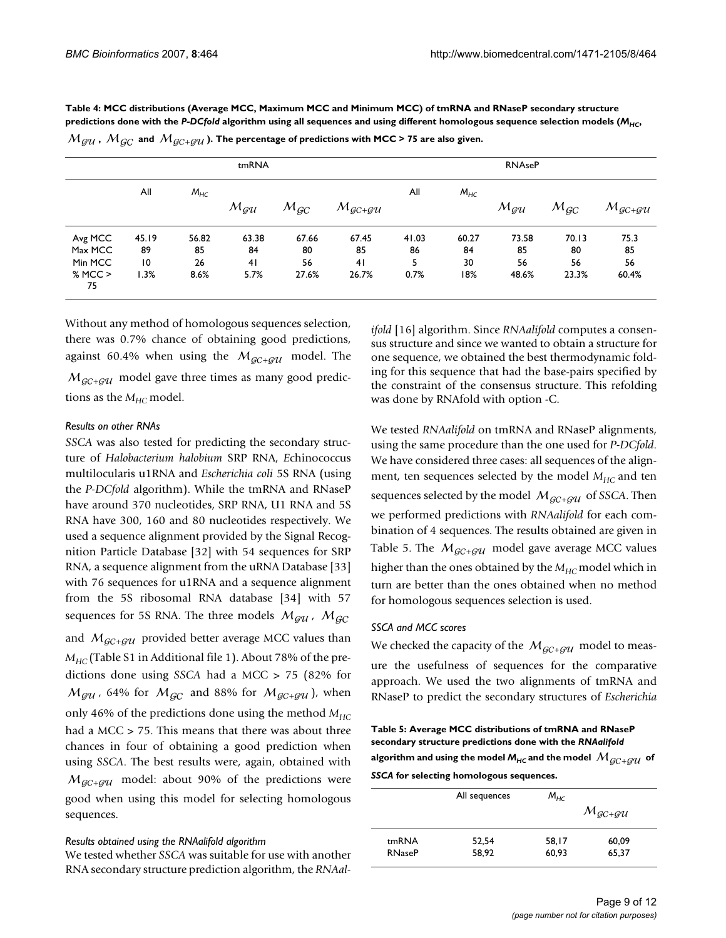|               |                 |          | tmRNA               |                    |             |       |          | <b>RNAseP</b>      |                      |             |
|---------------|-----------------|----------|---------------------|--------------------|-------------|-------|----------|--------------------|----------------------|-------------|
|               | All             | $M_{HC}$ |                     |                    |             | All   | $M_{HC}$ |                    |                      |             |
|               |                 |          | $M_{\mathfrak{g}u}$ | $M_{\mathcal{G}C}$ | $M_{GC+GU}$ |       |          | $M_{\mathcal{G}U}$ | ${\cal M}_{\cal GC}$ | $M_{GC+GU}$ |
| Avg MCC       | 45.19           | 56.82    | 63.38               | 67.66              | 67.45       | 41.03 | 60.27    | 73.58              | 70.13                | 75.3        |
| Max MCC       | 89              | 85       | 84                  | 80                 | 85          | 86    | 84       | 85                 | 80                   | 85          |
| Min MCC       | $\overline{10}$ | 26       | 41                  | 56                 | 41          | 5     | 30       | 56                 | 56                   | 56          |
| % MCC ><br>75 | 1.3%            | 8.6%     | 5.7%                | 27.6%              | 26.7%       | 0.7%  | 18%      | 48.6%              | 23.3%                | 60.4%       |

**Table 4: MCC distributions (Average MCC, Maximum MCC and Minimum MCC) of tmRNA and RNaseP secondary structure predictions done with the** *P-DCfold* **algorithm using all sequences and using different homologous sequence selection models (***MHC***,**   $\mathcal{M}_{\mathcal{GU}}$  ,  $\mathcal{M}_{\mathcal{GC}}$  and  $\mathcal{M}_{\mathcal{GC}+\mathcal{GU}}$  ). The percentage of predictions with **MCC > 75** are also given.

Without any method of homologous sequences selection, there was 0.7% chance of obtaining good predictions, against 60.4% when using the  $\mathcal{M}_{\mathcal{G}C+\mathcal{G}|\mathcal{U}}$  model. The  $M_{gc+g\ell\ell}$  model gave three times as many good predictions as the  $M_{HC}$  model.

#### *Results on other RNAs*

*SSCA* was also tested for predicting the secondary structure of *Halobacterium halobium* SRP RNA, *E*chinococcus multilocularis u1RNA and *Escherichia coli* 5S RNA (using the *P-DCfold* algorithm). While the tmRNA and RNaseP have around 370 nucleotides, SRP RNA, U1 RNA and 5S RNA have 300, 160 and 80 nucleotides respectively. We used a sequence alignment provided by the Signal Recognition Particle Database [32] with 54 sequences for SRP RNA, a sequence alignment from the uRNA Database [33] with 76 sequences for u1RNA and a sequence alignment from the 5S ribosomal RNA database [34] with 57 sequences for 5S RNA. The three models  $\,{\cal M}_{\it GU}^{}$  ,  $\,{\cal M}_{\it GC}^{}$ and  $\mathcal{M}_{\mathcal{G}C+\mathcal{G}U}$  provided better average MCC values than *M<sub>HC</sub>* (Table S1 in Additional file 1). About 78% of the predictions done using *SSCA* had a MCC > 75 (82% for  $\mathcal{M}_{\mathcal{G}\mathcal{U}}$  , 64% for  $\mathcal{M}_{\mathcal{G}\mathcal{C}}$  and 88% for  $\mathcal{M}_{\mathcal{G}\mathcal{C}+\mathcal{G}\mathcal{U}}$  ), when only 46% of the predictions done using the method  $M_{HC}$ had a MCC > 75. This means that there was about three chances in four of obtaining a good prediction when using *SSCA*. The best results were, again, obtained with  $\mathcal{M}_{\mathcal{G}\mathcal{C}+\mathcal{G}\mathcal{U}}$  model: about 90% of the predictions were good when using this model for selecting homologous sequences.

We tested whether *SSCA* was suitable for use with another RNA secondary structure prediction algorithm, the *RNAal-* *ifold* [16] algorithm. Since *RNAalifold* computes a consensus structure and since we wanted to obtain a structure for one sequence, we obtained the best thermodynamic folding for this sequence that had the base-pairs specified by the constraint of the consensus structure. This refolding was done by RNAfold with option -C.

We tested *RNAalifold* on tmRNA and RNaseP alignments, using the same procedure than the one used for *P-DCfold*. We have considered three cases: all sequences of the alignment, ten sequences selected by the model  $M_{HC}$  and ten sequences selected by the model  $\,{\cal M}_{\rm \mathcal{GC}+\mathcal{G}\mathcal{U}}\,$  of SSCA. Then we performed predictions with *RNAalifold* for each combination of 4 sequences. The results obtained are given in Table 5. The  $\,{\cal M}_{\rm GC+G\!U}\,$  model gave average MCC values higher than the ones obtained by the  $M_{HC}$  model which in turn are better than the ones obtained when no method for homologous sequences selection is used.

#### *SSCA and MCC scores*

We checked the capacity of the  $\mathcal{M}_{\mathcal{G}C+\mathcal{G}|\mathcal{U}}$  model to measure the usefulness of sequences for the comparative approach. We used the two alignments of tmRNA and RNaseP to predict the secondary structures of *Escherichia*

**Table 5: Average MCC distributions of tmRNA and RNaseP secondary structure predictions done with the** *RNAalifold*  algorithm and using the model  $\bm{{\mathsf{M}}}_{\bm{\mathsf{HC}}}$  and the model  $\mathcal{M}_{\mathcal{G}\mathcal{C}+\mathcal{G}\mathcal{U}}$  of *SSCA* **for selecting homologous sequences.**

|               | All sequences | $M_{HC}$ |                                           |
|---------------|---------------|----------|-------------------------------------------|
|               |               |          | $\mathcal{M}_{\mathcal{G}C+\mathcal{G}U}$ |
| tmRNA         | 52,54         | 58,17    | 60,09                                     |
| <b>RNaseP</b> | 58,92         | 60,93    | 65,37                                     |

*Results obtained using the RNAalifold algorithm*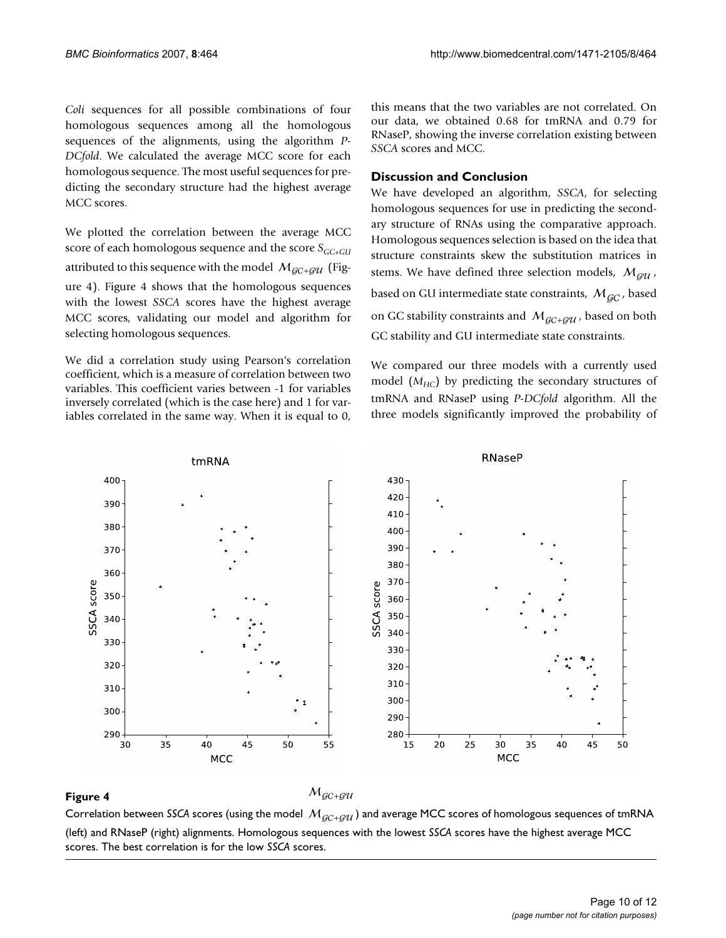*Coli* sequences for all possible combinations of four homologous sequences among all the homologous sequences of the alignments, using the algorithm *P-DCfold*. We calculated the average MCC score for each homologous sequence. The most useful sequences for predicting the secondary structure had the highest average MCC scores.

We plotted the correlation between the average MCC score of each homologous sequence and the score  $S_{GC+GH}$ attributed to this sequence with the model  $M_{gc+GU}$  (Figure 4). Figure 4 shows that the homologous sequences with the lowest *SSCA* scores have the highest average MCC scores, validating our model and algorithm for selecting homologous sequences.

We did a correlation study using Pearson's correlation coefficient, which is a measure of correlation between two variables. This coefficient varies between -1 for variables inversely correlated (which is the case here) and 1 for variables correlated in the same way. When it is equal to 0,

this means that the two variables are not correlated. On our data, we obtained 0.68 for tmRNA and 0.79 for RNaseP, showing the inverse correlation existing between *SSCA* scores and MCC.

### **Discussion and Conclusion**

We have developed an algorithm, *SSCA*, for selecting homologous sequences for use in predicting the secondary structure of RNAs using the comparative approach. Homologous sequences selection is based on the idea that structure constraints skew the substitution matrices in  $\mathcal{M}_{\mathcal{G}C+\mathcal{G}U}$  (Fig- stems. We have defined three selection models,  $\mathcal{M}_{\mathcal{G}U}$  , based on GU intermediate state constraints,  $\,{\cal M}_{\rm GC}$  , based on GC stability constraints and  $\mathcal{M}_{\mathcal{G}\mathcal{C}+\mathcal{G}\mathcal{U}}$  , based on both GC stability and GU intermediate state constraints.

> We compared our three models with a currently used model  $(M_{HC})$  by predicting the secondary structures of tmRNA and RNaseP using *P-DCfold* algorithm. All the three models significantly improved the probability of



# ${\cal C}$  summents (using the model  ${\cal M}_{\emph{gC+gU}}$  and  ${\cal M}_{\emph{gC+gU}}$

 $M_{GC+GU}$ 

Correlation between SSCA scores (using the model  $\,{\cal M}_{gC+g{\cal U}})$  and average MCC scores of homologous sequences of tmRNA (left) and RNaseP (right) alignments. Homologous sequences with the lowest *SSCA* scores have the highest average MCC scores. The best correlation is for the low *SSCA* scores.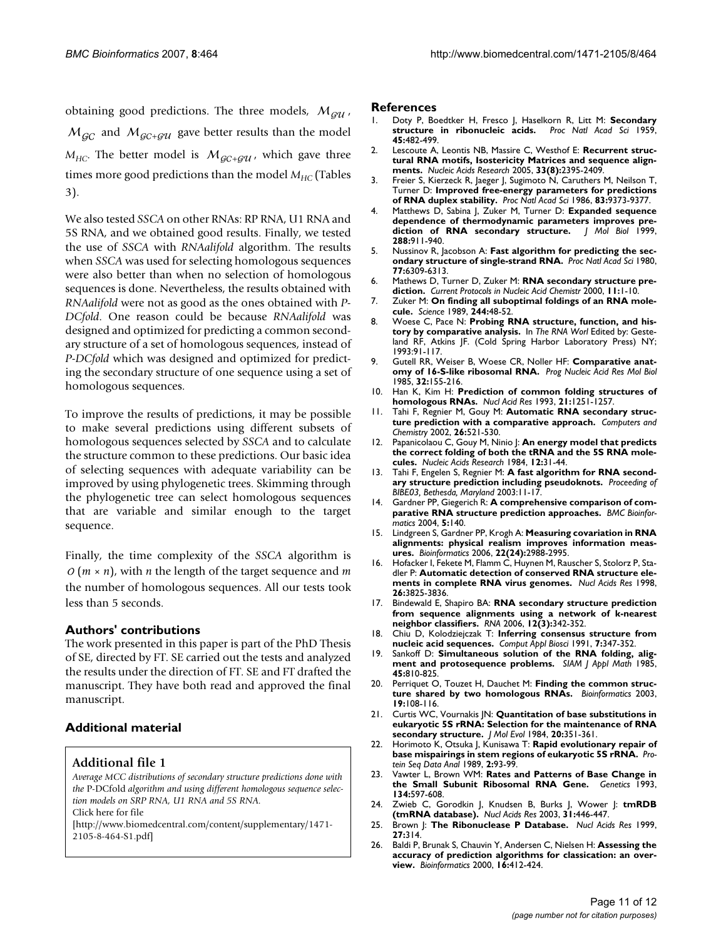obtaining good predictions. The three models,  $\mathcal{M}_{\mathcal{G} \mathcal{U}}$ ,  $\mathcal{M}_{\mathcal{G}\mathcal{C}}$  and  $\mathcal{M}_{\mathcal{G}\mathcal{C}+\mathcal{G}\mathcal{U}}$  gave better results than the model  $M_{HC}$ . The better model is  $\mathcal{M}_{\mathcal{G}C+\mathcal{G}\mathcal{U}}$ , which gave three times more good predictions than the model *M<sub>HC</sub>* (Tables 3).

We also tested *SSCA* on other RNAs: RP RNA, U1 RNA and 5S RNA, and we obtained good results. Finally, we tested the use of *SSCA* with *RNAalifold* algorithm. The results when *SSCA* was used for selecting homologous sequences were also better than when no selection of homologous sequences is done. Nevertheless, the results obtained with *RNAalifold* were not as good as the ones obtained with *P-DCfold*. One reason could be because *RNAalifold* was designed and optimized for predicting a common secondary structure of a set of homologous sequences, instead of *P-DCfold* which was designed and optimized for predicting the secondary structure of one sequence using a set of homologous sequences.

To improve the results of predictions, it may be possible to make several predictions using different subsets of homologous sequences selected by *SSCA* and to calculate the structure common to these predictions. Our basic idea of selecting sequences with adequate variability can be improved by using phylogenetic trees. Skimming through the phylogenetic tree can select homologous sequences that are variable and similar enough to the target sequence.

Finally, the time complexity of the *SSCA* algorithm is (*m* × *n*), with *n* the length of the target sequence and *m* the number of homologous sequences. All our tests took less than 5 seconds.

#### **Authors' contributions**

The work presented in this paper is part of the PhD Thesis of SE, directed by FT. SE carried out the tests and analyzed the results under the direction of FT. SE and FT drafted the manuscript. They have both read and approved the final manuscript.

#### **Additional material**

#### **Additional file 1**

*Average MCC distributions of secondary structure predictions done with the* P-DCfold *algorithm and using different homologous sequence selection models on SRP RNA, U1 RNA and 5S RNA.* Click here for file [\[http://www.biomedcentral.com/content/supplementary/1471-](http://www.biomedcentral.com/content/supplementary/1471-2105-8-464-S1.pdf) 2105-8-464-S1.pdf]

#### **References**

- 1. Doty P, Boedtker H, Fresco J, Haselkorn R, Litt M: **[Secondary](http://www.ncbi.nlm.nih.gov/entrez/query.fcgi?cmd=Retrieve&db=PubMed&dopt=Abstract&list_uids=16590404) [structure in ribonucleic acids.](http://www.ncbi.nlm.nih.gov/entrez/query.fcgi?cmd=Retrieve&db=PubMed&dopt=Abstract&list_uids=16590404)** *Proc Natl Acad Sci* 1959, **45:**482-499.
- 2. Lescoute A, Leontis NB, Massire C, Westhof E: **[Recurrent struc](http://www.ncbi.nlm.nih.gov/entrez/query.fcgi?cmd=Retrieve&db=PubMed&dopt=Abstract&list_uids=15860776)[tural RNA motifs, Isostericity Matrices and sequence align](http://www.ncbi.nlm.nih.gov/entrez/query.fcgi?cmd=Retrieve&db=PubMed&dopt=Abstract&list_uids=15860776)[ments.](http://www.ncbi.nlm.nih.gov/entrez/query.fcgi?cmd=Retrieve&db=PubMed&dopt=Abstract&list_uids=15860776)** *Nucleic Acids Research* 2005, **33(8):**2395-2409.
- 3. Freier S, Kierzeck R, Jaeger J, Sugimoto N, Caruthers M, Neilson T, Turner D: **[Improved free-energy parameters for predictions](http://www.ncbi.nlm.nih.gov/entrez/query.fcgi?cmd=Retrieve&db=PubMed&dopt=Abstract&list_uids=2432595) [of RNA duplex stability.](http://www.ncbi.nlm.nih.gov/entrez/query.fcgi?cmd=Retrieve&db=PubMed&dopt=Abstract&list_uids=2432595)** *Proc Natl Acad Sci* 1986, **83:**9373-9377.
- 4. Matthews D, Sabina J, Zuker M, Turner D: **[Expanded sequence](http://www.ncbi.nlm.nih.gov/entrez/query.fcgi?cmd=Retrieve&db=PubMed&dopt=Abstract&list_uids=10329189) [dependence of thermodynamic parameters improves pre](http://www.ncbi.nlm.nih.gov/entrez/query.fcgi?cmd=Retrieve&db=PubMed&dopt=Abstract&list_uids=10329189)[diction of RNA secondary structure.](http://www.ncbi.nlm.nih.gov/entrez/query.fcgi?cmd=Retrieve&db=PubMed&dopt=Abstract&list_uids=10329189)** *J Mol Biol* 1999, **288:**911-940.
- 5. Nussinov R, Jacobson A: **[Fast algorithm for predicting the sec](http://www.ncbi.nlm.nih.gov/entrez/query.fcgi?cmd=Retrieve&db=PubMed&dopt=Abstract&list_uids=6161375)[ondary structure of single-strand RNA.](http://www.ncbi.nlm.nih.gov/entrez/query.fcgi?cmd=Retrieve&db=PubMed&dopt=Abstract&list_uids=6161375)** *Proc Natl Acad Sci* 1980, **77:**6309-6313.
- 6. Mathews D, Turner D, Zuker M: **RNA secondary structure prediction.** *Current Protocols in Nucleic Acid Chemistr* 2000, **11:**1-10.
- 7. Zuker M: **[On finding all suboptimal foldings of an RNA mole](http://www.ncbi.nlm.nih.gov/entrez/query.fcgi?cmd=Retrieve&db=PubMed&dopt=Abstract&list_uids=2468181)[cule.](http://www.ncbi.nlm.nih.gov/entrez/query.fcgi?cmd=Retrieve&db=PubMed&dopt=Abstract&list_uids=2468181)** *Science* 1989, **244:**48-52.
- 8. Woese C, Pace N: **Probing RNA structure, function, and history by comparative analysis.** In *The RNA Worl* Edited by: Gesteland RF, Atkins JF. (Cold Spring Harbor Laboratory Press) NY; 1993:91-117.
- 9. Gutell RR, Weiser B, Woese CR, Noller HF: **[Comparative anat](http://www.ncbi.nlm.nih.gov/entrez/query.fcgi?cmd=Retrieve&db=PubMed&dopt=Abstract&list_uids=3911275)[omy of 16-S-like ribosomal RNA.](http://www.ncbi.nlm.nih.gov/entrez/query.fcgi?cmd=Retrieve&db=PubMed&dopt=Abstract&list_uids=3911275)** *Prog Nucleic Acid Res Mol Biol* 1985, **32:**155-216.
- 10. Han K, Kim H: **[Prediction of common folding structures of](http://www.ncbi.nlm.nih.gov/entrez/query.fcgi?cmd=Retrieve&db=PubMed&dopt=Abstract&list_uids=7681944) [homologous RNAs.](http://www.ncbi.nlm.nih.gov/entrez/query.fcgi?cmd=Retrieve&db=PubMed&dopt=Abstract&list_uids=7681944)** *Nucl Acid Res* 1993, **21:**1251-1257.
- 11. Tahi F, Regnier M, Gouy M: **[Automatic RNA secondary struc](http://www.ncbi.nlm.nih.gov/entrez/query.fcgi?cmd=Retrieve&db=PubMed&dopt=Abstract&list_uids=12144180)[ture prediction with a comparative approach.](http://www.ncbi.nlm.nih.gov/entrez/query.fcgi?cmd=Retrieve&db=PubMed&dopt=Abstract&list_uids=12144180)** *Computers and Chemistry* 2002, **26:**521-530.
- 12. Papanicolaou C, Gouy M, Ninio J: **[An energy model that predicts](http://www.ncbi.nlm.nih.gov/entrez/query.fcgi?cmd=Retrieve&db=PubMed&dopt=Abstract&list_uids=6694903) [the correct folding of both the tRNA and the 5S RNA mole](http://www.ncbi.nlm.nih.gov/entrez/query.fcgi?cmd=Retrieve&db=PubMed&dopt=Abstract&list_uids=6694903)[cules.](http://www.ncbi.nlm.nih.gov/entrez/query.fcgi?cmd=Retrieve&db=PubMed&dopt=Abstract&list_uids=6694903)** *Nucleic Acids Research* 1984, **12:**31-44.
- 13. Tahi F, Engelen S, Regnier M: **A fast algorithm for RNA secondary structure prediction including pseudoknots.** *Proceeding of BIBE03, Bethesda, Maryland* 2003:11-17.
- 14. Gardner PP, Giegerich R: **[A comprehensive comparison of com](http://www.ncbi.nlm.nih.gov/entrez/query.fcgi?cmd=Retrieve&db=PubMed&dopt=Abstract&list_uids=15458580)[parative RNA structure prediction approaches.](http://www.ncbi.nlm.nih.gov/entrez/query.fcgi?cmd=Retrieve&db=PubMed&dopt=Abstract&list_uids=15458580)** *BMC Bioinformatics* 2004, **5:**140.
- 15. Lindgreen S, Gardner PP, Krogh A: **[Measuring covariation in RNA](http://www.ncbi.nlm.nih.gov/entrez/query.fcgi?cmd=Retrieve&db=PubMed&dopt=Abstract&list_uids=17038338) [alignments: physical realism improves information meas](http://www.ncbi.nlm.nih.gov/entrez/query.fcgi?cmd=Retrieve&db=PubMed&dopt=Abstract&list_uids=17038338)[ures.](http://www.ncbi.nlm.nih.gov/entrez/query.fcgi?cmd=Retrieve&db=PubMed&dopt=Abstract&list_uids=17038338)** *Bioinformatics* 2006, **22(24):**2988-2995.
- 16. Hofacker I, Fekete M, Flamm C, Huynen M, Rauscher S, Stolorz P, Stadler P: **[Automatic detection of conserved RNA structure ele](http://www.ncbi.nlm.nih.gov/entrez/query.fcgi?cmd=Retrieve&db=PubMed&dopt=Abstract&list_uids=9685502)[ments in complete RNA virus genomes.](http://www.ncbi.nlm.nih.gov/entrez/query.fcgi?cmd=Retrieve&db=PubMed&dopt=Abstract&list_uids=9685502)** *Nucl Acids Res* 1998, **26:**3825-3836.
- 17. Bindewald E, Shapiro BA: **[RNA secondary structure prediction](http://www.ncbi.nlm.nih.gov/entrez/query.fcgi?cmd=Retrieve&db=PubMed&dopt=Abstract&list_uids=16495232) [from sequence alignments using a network of k-nearest](http://www.ncbi.nlm.nih.gov/entrez/query.fcgi?cmd=Retrieve&db=PubMed&dopt=Abstract&list_uids=16495232) [neighbor classifiers.](http://www.ncbi.nlm.nih.gov/entrez/query.fcgi?cmd=Retrieve&db=PubMed&dopt=Abstract&list_uids=16495232)** *RNA* 2006, **12(3):**342-352.
- 18. Chiu D, Kolodziejczak T: **[Inferring consensus structure from](http://www.ncbi.nlm.nih.gov/entrez/query.fcgi?cmd=Retrieve&db=PubMed&dopt=Abstract&list_uids=1913217) [nucleic acid sequences.](http://www.ncbi.nlm.nih.gov/entrez/query.fcgi?cmd=Retrieve&db=PubMed&dopt=Abstract&list_uids=1913217)** *Comput Appl Biosci* 1991, **7:**347-352.
- 19. Sankoff D: Simultaneous solution of the RNA folding, alig**ment and protosequence problems.** *SIAM J Appl Math* 1985, **45:**810-825.
- 20. Perriquet O, Touzet H, Dauchet M: **[Finding the common struc](http://www.ncbi.nlm.nih.gov/entrez/query.fcgi?cmd=Retrieve&db=PubMed&dopt=Abstract&list_uids=12499300)[ture shared by two homologous RNAs.](http://www.ncbi.nlm.nih.gov/entrez/query.fcgi?cmd=Retrieve&db=PubMed&dopt=Abstract&list_uids=12499300)** *Bioinformatics* 2003, **19:**108-116.
- 21. Curtis WC, Vournakis JN: **[Quantitation of base substitutions in](http://www.ncbi.nlm.nih.gov/entrez/query.fcgi?cmd=Retrieve&db=PubMed&dopt=Abstract&list_uids=6439889) [eukaryotic 5S rRNA: Selection for the maintenance of RNA](http://www.ncbi.nlm.nih.gov/entrez/query.fcgi?cmd=Retrieve&db=PubMed&dopt=Abstract&list_uids=6439889) [secondary structure.](http://www.ncbi.nlm.nih.gov/entrez/query.fcgi?cmd=Retrieve&db=PubMed&dopt=Abstract&list_uids=6439889)** *J Mol Evol* 1984, **20:**351-361.
- 22. Horimoto K, Otsuka J, Kunisawa T: **[Rapid evolutionary repair of](http://www.ncbi.nlm.nih.gov/entrez/query.fcgi?cmd=Retrieve&db=PubMed&dopt=Abstract&list_uids=2710788) [base mispairings in stem regions of eukaryotic 5S rRNA.](http://www.ncbi.nlm.nih.gov/entrez/query.fcgi?cmd=Retrieve&db=PubMed&dopt=Abstract&list_uids=2710788)** *Protein Seq Data Anal* 1989, **2:**93-99.
- 23. Vawter L, Brown WM: **[Rates and Patterns of Base Change in](http://www.ncbi.nlm.nih.gov/entrez/query.fcgi?cmd=Retrieve&db=PubMed&dopt=Abstract&list_uids=8325490) [the Small Subunit Ribosomal RNA Gene.](http://www.ncbi.nlm.nih.gov/entrez/query.fcgi?cmd=Retrieve&db=PubMed&dopt=Abstract&list_uids=8325490)** *Genetics* 1993, **134:**597-608.
- 24. Zwieb C, Gorodkin J, Knudsen B, Burks J, Wower J: **[tmRDB](http://www.ncbi.nlm.nih.gov/entrez/query.fcgi?cmd=Retrieve&db=PubMed&dopt=Abstract&list_uids=12520048) [\(tmRNA database\).](http://www.ncbi.nlm.nih.gov/entrez/query.fcgi?cmd=Retrieve&db=PubMed&dopt=Abstract&list_uids=12520048)** *Nucl Acids Res* 2003, **31:**446-447.
- 25. Brown J: **[The Ribonuclease P Database.](http://www.ncbi.nlm.nih.gov/entrez/query.fcgi?cmd=Retrieve&db=PubMed&dopt=Abstract&list_uids=9847214)** *Nucl Acids Res* 1999, **27:**314.
- 26. Baldi P, Brunak S, Chauvin Y, Andersen C, Nielsen H: **[Assessing the](http://www.ncbi.nlm.nih.gov/entrez/query.fcgi?cmd=Retrieve&db=PubMed&dopt=Abstract&list_uids=10871264) [accuracy of prediction algorithms for classication: an over](http://www.ncbi.nlm.nih.gov/entrez/query.fcgi?cmd=Retrieve&db=PubMed&dopt=Abstract&list_uids=10871264)[view.](http://www.ncbi.nlm.nih.gov/entrez/query.fcgi?cmd=Retrieve&db=PubMed&dopt=Abstract&list_uids=10871264)** *Bioinformatics* 2000, **16:**412-424.